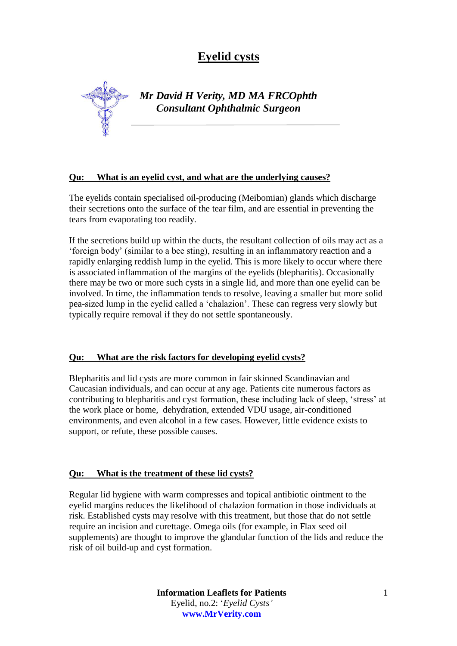# **Eyelid cysts**

*Mr David H Verity, MD MA FRCOphth Consultant Ophthalmic Surgeon*

### **Qu: What is an eyelid cyst, and what are the underlying causes?**

The eyelids contain specialised oil-producing (Meibomian) glands which discharge their secretions onto the surface of the tear film, and are essential in preventing the tears from evaporating too readily.

If the secretions build up within the ducts, the resultant collection of oils may act as a 'foreign body' (similar to a bee sting), resulting in an inflammatory reaction and a rapidly enlarging reddish lump in the eyelid. This is more likely to occur where there is associated inflammation of the margins of the eyelids (blepharitis). Occasionally there may be two or more such cysts in a single lid, and more than one eyelid can be involved. In time, the inflammation tends to resolve, leaving a smaller but more solid pea-sized lump in the eyelid called a 'chalazion'. These can regress very slowly but typically require removal if they do not settle spontaneously.

#### **Qu: What are the risk factors for developing eyelid cysts?**

Blepharitis and lid cysts are more common in fair skinned Scandinavian and Caucasian individuals, and can occur at any age. Patients cite numerous factors as contributing to blepharitis and cyst formation, these including lack of sleep, 'stress' at the work place or home, dehydration, extended VDU usage, air-conditioned environments, and even alcohol in a few cases. However, little evidence exists to support, or refute, these possible causes.

### **Qu: What is the treatment of these lid cysts?**

Regular lid hygiene with warm compresses and topical antibiotic ointment to the eyelid margins reduces the likelihood of chalazion formation in those individuals at risk. Established cysts may resolve with this treatment, but those that do not settle require an incision and curettage. Omega oils (for example, in Flax seed oil supplements) are thought to improve the glandular function of the lids and reduce the risk of oil build-up and cyst formation.

> **Information Leaflets for Patients** Eyelid, no.2: '*Eyelid Cysts'* **www.MrVerity.com**